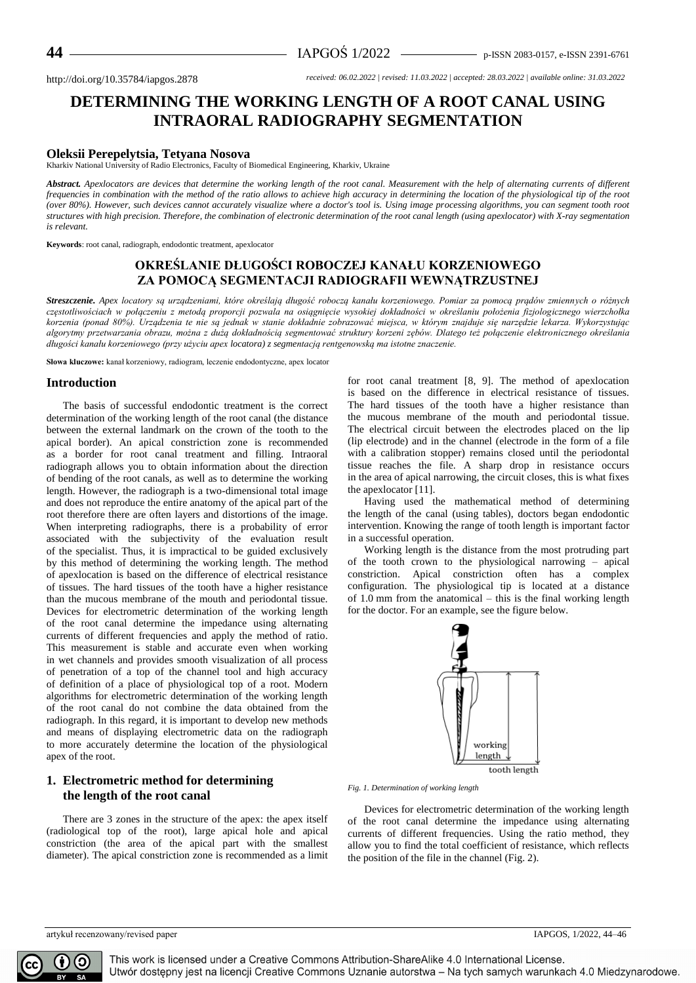# **DETERMINING THE WORKING LENGTH OF A ROOT CANAL USING INTRAORAL RADIOGRAPHY SEGMENTATION**

### **Oleksii Perepelytsia, Tetyana Nosova**

Kharkiv National University of Radio Electronics, Faculty of Biomedical Engineering, Kharkiv, Ukraine

*Abstract. Apexlocators are devices that determine the working length of the root canal. Measurement with the help of alternating currents of different frequencies in combination with the method of the ratio allows to achieve high accuracy in determining the location of the physiological tip of the root (over 80%). However, such devices cannot accurately visualize where a doctor's tool is. Using image processing algorithms, you can segment tooth root structures with high precision. Therefore, the combination of electronic determination of the root canal length (using apexlocator) with X-ray segmentation is relevant.*

**Keywords**: root canal, radiograph, endodontic treatment, apexlocator

## **OKREŚLANIE DŁUGOŚCI ROBOCZEJ KANAŁU KORZENIOWEGO ZA POMOCĄ SEGMENTACJI RADIOGRAFII WEWNĄTRZUSTNEJ**

*Streszczenie. Apex locatory są urządzeniami, które określają długość roboczą kanału korzeniowego. Pomiar za pomocą prądów zmiennych o różnych częstotliwościach w połączeniu z metodą proporcji pozwala na osiągnięcie wysokiej dokładności w określaniu położenia fizjologicznego wierzchołka korzenia (ponad 80%). Urządzenia te nie są jednak w stanie dokładnie zobrazować miejsca, w którym znajduje się narzędzie lekarza. Wykorzystując algorytmy przetwarzania obrazu, można z dużą dokładnością segmentować struktury korzeni zębów. Dlatego też połączenie elektronicznego określania długości kanału korzeniowego (przy użyciu apex locatora) z segmentacją rentgenowską ma istotne znaczenie.*

**Słowa kluczowe:** kanał korzeniowy, radiogram, leczenie endodontyczne, apex locator

#### **Introduction**

The basis of successful endodontic treatment is the correct determination of the working length of the root canal (the distance between the external landmark on the crown of the tooth to the apical border). An apical constriction zone is recommended as a border for root canal treatment and filling. Intraoral radiograph allows you to obtain information about the direction of bending of the root canals, as well as to determine the working length. However, the radiograph is a two-dimensional total image and does not reproduce the entire anatomy of the apical part of the root therefore there are often layers and distortions of the image. When interpreting radiographs, there is a probability of error associated with the subjectivity of the evaluation result of the specialist. Thus, it is impractical to be guided exclusively by this method of determining the working length. The method of apexlocation is based on the difference of electrical resistance of tissues. The hard tissues of the tooth have a higher resistance than the mucous membrane of the mouth and periodontal tissue. Devices for electrometric determination of the working length of the root canal determine the impedance using alternating currents of different frequencies and apply the method of ratio. This measurement is stable and accurate even when working in wet channels and provides smooth visualization of all process of penetration of a top of the channel tool and high accuracy of definition of a place of physiological top of a root. Modern algorithms for electrometric determination of the working length of the root canal do not combine the data obtained from the radiograph. In this regard, it is important to develop new methods and means of displaying electrometric data on the radiograph to more accurately determine the location of the physiological apex of the root.

## **1. Electrometric method for determining the length of the root canal**

There are 3 zones in the structure of the apex: the apex itself (radiological top of the root), large apical hole and apical constriction (the area of the apical part with the smallest diameter). The apical constriction zone is recommended as a limit for root canal treatment [8, 9]. The method of apexlocation is based on the difference in electrical resistance of tissues. The hard tissues of the tooth have a higher resistance than the mucous membrane of the mouth and periodontal tissue. The electrical circuit between the electrodes placed on the lip (lip electrode) and in the channel (electrode in the form of a file with a calibration stopper) remains closed until the periodontal tissue reaches the file. A sharp drop in resistance occurs in the area of apical narrowing, the circuit closes, this is what fixes the apexlocator [11].

Having used the mathematical method of determining the length of the canal (using tables), doctors began endodontic intervention. Knowing the range of tooth length is important factor in a successful operation.

Working length is the distance from the most protruding part of the tooth crown to the physiological narrowing – apical constriction. Apical constriction often has a complex configuration. The physiological tip is located at a distance of 1.0 mm from the anatomical – this is the final working length for the doctor. For an example, see the figure below.



*Fig. 1. Determination of working length*

Devices for electrometric determination of the working length of the root canal determine the impedance using alternating currents of different frequencies. Using the ratio method, they allow you to find the total coefficient of resistance, which reflects the position of the file in the channel (Fig. 2).

artykuł recenzowany/revised paper IAPGOS, 1/2022, 44–46

This work is licensed under a Creative Commons Attribution-ShareAlike 4.0 International License. Utwór dostępny jest na licencji Creative Commons Uznanie autorstwa – Na tych samych warunkach 4.0 Miedzynarodowe.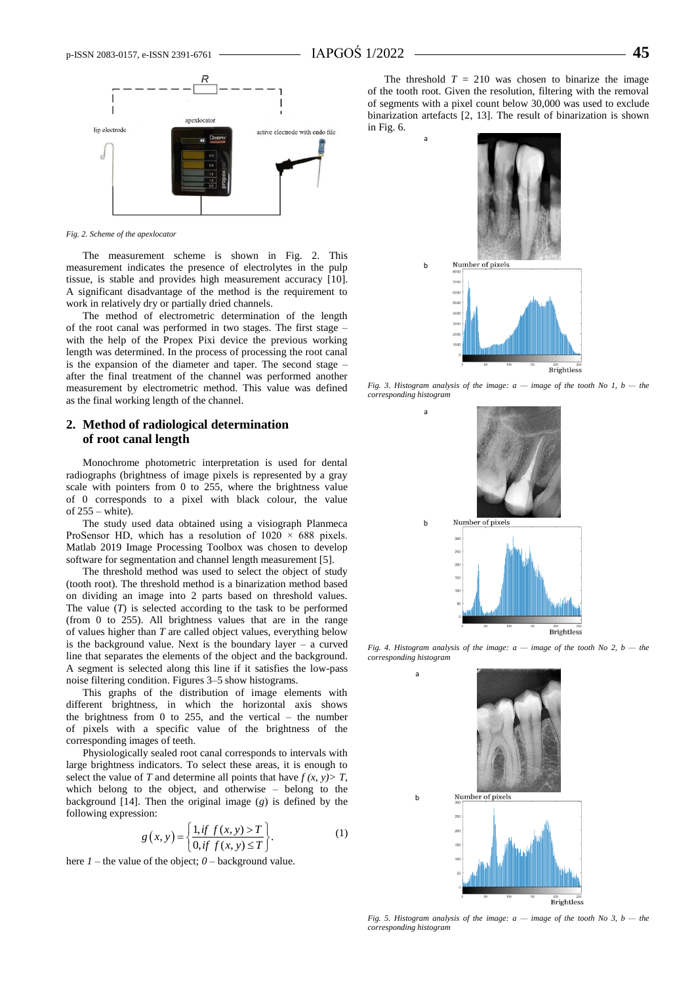a

b

a

b

a

b



*Fig. 2. Scheme of the apexlocator*

The measurement scheme is shown in Fig. 2. This measurement indicates the presence of electrolytes in the pulp tissue, is stable and provides high measurement accuracy [10]. A significant disadvantage of the method is the requirement to work in relatively dry or partially dried channels.

The method of electrometric determination of the length of the root canal was performed in two stages. The first stage – with the help of the Propex Pixi device the previous working length was determined. In the process of processing the root canal is the expansion of the diameter and taper. The second stage – after the final treatment of the channel was performed another measurement by electrometric method. This value was defined as the final working length of the channel.

### **2. Method of radiological determination of root canal length**

Monochrome photometric interpretation is used for dental radiographs (brightness of image pixels is represented by a gray scale with pointers from 0 to 255, where the brightness value of 0 corresponds to a pixel with black colour, the value of 255 – white).

The study used data obtained using a visiograph Planmeca ProSensor HD, which has a resolution of  $1020 \times 688$  pixels. Matlab 2019 Image Processing Toolbox was chosen to develop software for segmentation and channel length measurement [5].

The threshold method was used to select the object of study (tooth root). The threshold method is a binarization method based on dividing an image into 2 parts based on threshold values. The value  $(T)$  is selected according to the task to be performed (from 0 to 255). All brightness values that are in the range of values higher than *T* are called object values, everything below is the background value. Next is the boundary layer – a curved line that separates the elements of the object and the background. A segment is selected along this line if it satisfies the low-pass noise filtering condition. Figures 3–5 show histograms.

This graphs of the distribution of image elements with different brightness, in which the horizontal axis shows the brightness from 0 to 255, and the vertical – the number of pixels with a specific value of the brightness of the corresponding images of teeth.

Physiologically sealed root canal corresponds to intervals with large brightness indicators. To select these areas, it is enough to select the value of *T* and determine all points that have  $f(x, y) > T$ , which belong to the object, and otherwise – belong to the background [14]. Then the original image (*g*) is defined by the following expression:

$$
g(x, y) = \left\{ \frac{1, \text{if } f(x, y) > T}{0, \text{if } f(x, y) \le T} \right\}.
$$
 (1)

here *1* – the value of the object; *0* – background value.

The threshold  $T = 210$  was chosen to binarize the image of the tooth root. Given the resolution, filtering with the removal of segments with a pixel count below 30,000 was used to exclude binarization artefacts [2, 13]. The result of binarization is shown in Fig. 6.



*Fig. 3. Histogram analysis of the image: a — image of the tooth No 1, b — the corresponding histogram*



*Fig. 4. Histogram analysis of the image: a — image of the tooth No 2, b — the corresponding histogram*



*Fig. 5. Histogram analysis of the image: a — image of the tooth No 3, b — the corresponding histogram*